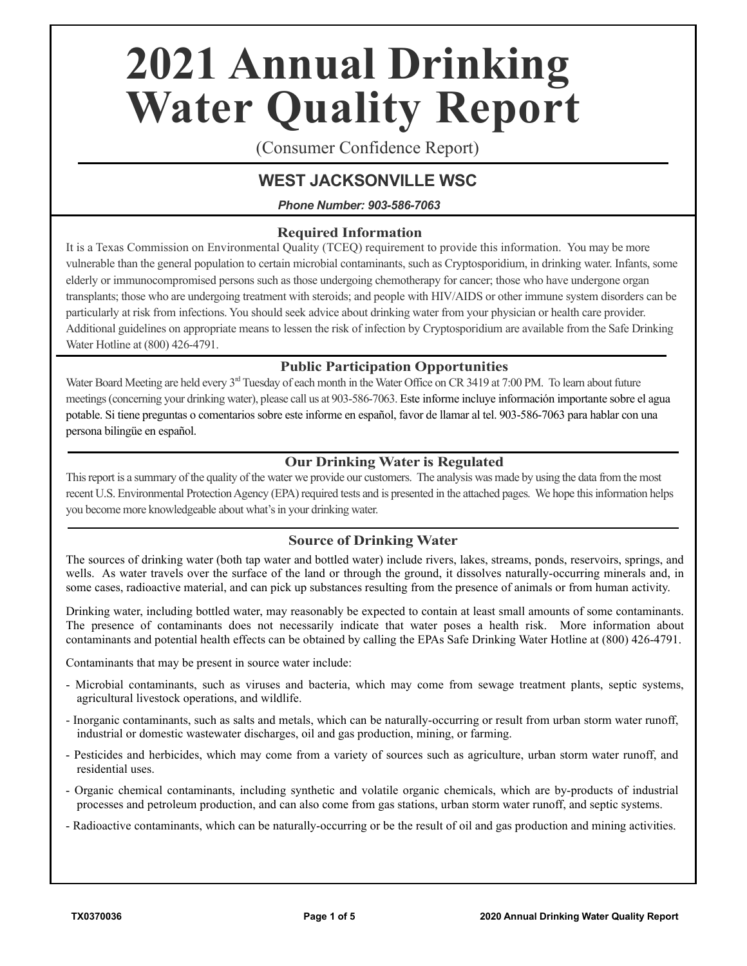# **2021 Annual Drinking Water Quality Report**

(Consumer Confidence Report)

# **WEST JACKSONVILLE WSC**

*Phone Number: 903-586-7063*

## **Required Information**

It is a Texas Commission on Environmental Quality (TCEQ) requirement to provide this information. You may be more vulnerable than the general population to certain microbial contaminants, such as Cryptosporidium, in drinking water. Infants, some elderly or immunocompromised persons such as those undergoing chemotherapy for cancer; those who have undergone organ transplants; those who are undergoing treatment with steroids; and people with HIV/AIDS or other immune system disorders can be particularly at risk from infections. You should seek advice about drinking water from your physician or health care provider. Additional guidelines on appropriate means to lessen the risk of infection by Cryptosporidium are available from the Safe Drinking Water Hotline at (800) 426-4791.

# **Public Participation Opportunities**

Water Board Meeting are held every  $3<sup>rd</sup>$  Tuesday of each month in the Water Office on CR 3419 at 7:00 PM. To learn about future meetings (concerning your drinking water), please call us at 903-586-7063. Este informe incluye información importante sobre el agua potable. Si tiene preguntas o comentarios sobre este informe en español, favor de llamar al tel. 903-586-7063 para hablar con una persona bilingüe en español.

#### **Our Drinking Water is Regulated**

This report is a summary of the quality of the water we provide our customers. The analysis was made by using the data from the most recent U.S. Environmental Protection Agency (EPA) required tests and is presented in the attached pages. We hope this information helps you become more knowledgeable about what's in your drinking water.

### **Source of Drinking Water**

The sources of drinking water (both tap water and bottled water) include rivers, lakes, streams, ponds, reservoirs, springs, and wells. As water travels over the surface of the land or through the ground, it dissolves naturally-occurring minerals and, in some cases, radioactive material, and can pick up substances resulting from the presence of animals or from human activity.

Drinking water, including bottled water, may reasonably be expected to contain at least small amounts of some contaminants. The presence of contaminants does not necessarily indicate that water poses a health risk. More information about contaminants and potential health effects can be obtained by calling the EPAs Safe Drinking Water Hotline at (800) 426-4791.

Contaminants that may be present in source water include:

- Microbial contaminants, such as viruses and bacteria, which may come from sewage treatment plants, septic systems, agricultural livestock operations, and wildlife.
- Inorganic contaminants, such as salts and metals, which can be naturally-occurring or result from urban storm water runoff, industrial or domestic wastewater discharges, oil and gas production, mining, or farming.
- Pesticides and herbicides, which may come from a variety of sources such as agriculture, urban storm water runoff, and residential uses.
- Organic chemical contaminants, including synthetic and volatile organic chemicals, which are by-products of industrial processes and petroleum production, and can also come from gas stations, urban storm water runoff, and septic systems.
- Radioactive contaminants, which can be naturally-occurring or be the result of oil and gas production and mining activities.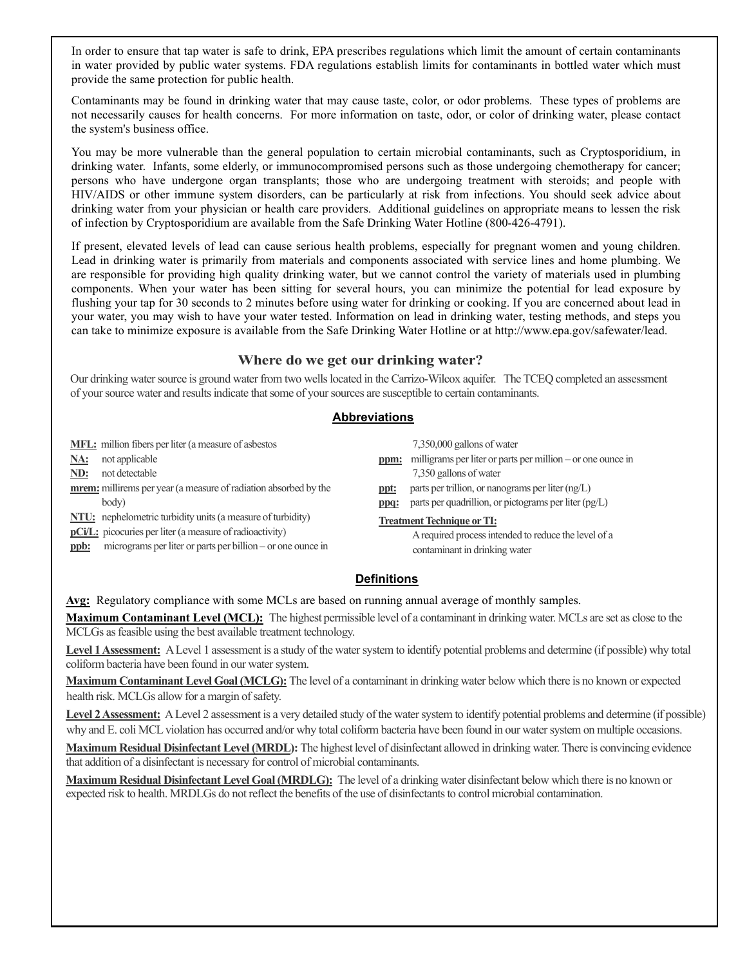In order to ensure that tap water is safe to drink, EPA prescribes regulations which limit the amount of certain contaminants in water provided by public water systems. FDA regulations establish limits for contaminants in bottled water which must provide the same protection for public health.

Contaminants may be found in drinking water that may cause taste, color, or odor problems. These types of problems are not necessarily causes for health concerns. For more information on taste, odor, or color of drinking water, please contact the system's business office.

You may be more vulnerable than the general population to certain microbial contaminants, such as Cryptosporidium, in drinking water. Infants, some elderly, or immunocompromised persons such as those undergoing chemotherapy for cancer; persons who have undergone organ transplants; those who are undergoing treatment with steroids; and people with HIV/AIDS or other immune system disorders, can be particularly at risk from infections. You should seek advice about drinking water from your physician or health care providers. Additional guidelines on appropriate means to lessen the risk of infection by Cryptosporidium are available from the Safe Drinking Water Hotline (800-426-4791).

If present, elevated levels of lead can cause serious health problems, especially for pregnant women and young children. Lead in drinking water is primarily from materials and components associated with service lines and home plumbing. We are responsible for providing high quality drinking water, but we cannot control the variety of materials used in plumbing components. When your water has been sitting for several hours, you can minimize the potential for lead exposure by flushing your tap for 30 seconds to 2 minutes before using water for drinking or cooking. If you are concerned about lead in your water, you may wish to have your water tested. Information on lead in drinking water, testing methods, and steps you can take to minimize exposure is available from the Safe Drinking Water Hotline or at http://www.epa.gov/safewater/lead.

#### **Where do we get our drinking water?**

Our drinking water source is ground water from two wells located in the Carrizo-Wilcox aquifer. The TCEQ completed an assessment of your source water and results indicate that some of your sources are susceptible to certain contaminants.

#### **Abbreviations**

|      | <b>MFL:</b> million fibers per liter (a measure of asbestos)       |         | $7,350,000$ gallons of water                                |
|------|--------------------------------------------------------------------|---------|-------------------------------------------------------------|
| NA:  | not applicable                                                     | ppm:    | milligrams per liter or parts per million – or one ounce in |
| ND:  | not detectable                                                     |         | 7,350 gallons of water                                      |
|      | mrem: millirems per year (a measure of radiation absorbed by the   | ppt:    | parts per trillion, or nanograms per liter $(ng/L)$         |
|      | body)                                                              | $ppq$ : | parts per quadrillion, or pictograms per liter (pg/L)       |
|      | <b>NTU:</b> nephelometric turbidity units (a measure of turbidity) |         | <b>Treatment Technique or TI:</b>                           |
|      | <b>pCi/L</b> : picocuries per liter (a measure of radioactivity)   |         | A required process intended to reduce the level of a        |
| ppb: | micrograms per liter or parts per billion – or one ounce in        |         | contaminant in drinking water                               |
|      |                                                                    |         |                                                             |

#### **Definitions**

**Avg:** Regulatory compliance with some MCLs are based on running annual average of monthly samples.

**Maximum Contaminant Level (MCL):** The highest permissible level of a contaminant in drinking water. MCLs are set as close to the MCLGs as feasible using the best available treatment technology.

Level 1 Assessment: A Level 1 assessment is a study of the water system to identify potential problems and determine (if possible) why total coliform bacteria have been found in our water system.

**Maximum Contaminant Level Goal (MCLG):** The level of a contaminant in drinking water below which there is no known or expected health risk. MCLGs allow for a margin of safety.

Level 2 Assessment: A Level 2 assessment is a very detailed study of the water system to identify potential problems and determine (if possible) why and E. coli MCL violation has occurred and/or why total coliform bacteria have been found in our water system on multiple occasions.

**Maximum Residual Disinfectant Level (MRDL):** The highest level of disinfectant allowed in drinking water. There is convincing evidence that addition of a disinfectant is necessary for control of microbial contaminants.

**Maximum Residual Disinfectant Level Goal (MRDLG):** The level of a drinking water disinfectant below which there is no known or expected risk to health. MRDLGs do not reflect the benefits of the use of disinfectants to control microbial contamination.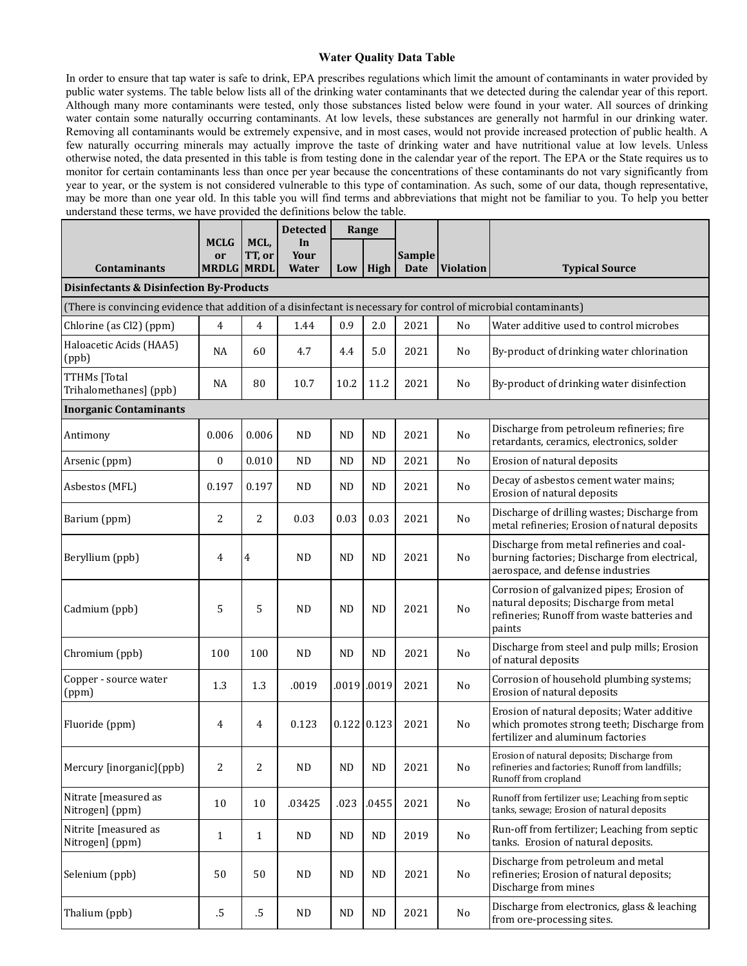#### **Water Quality Data Table**

In order to ensure that tap water is safe to drink, EPA prescribes regulations which limit the amount of contaminants in water provided by public water systems. The table below lists all of the drinking water contaminants that we detected during the calendar year of this report. Although many more contaminants were tested, only those substances listed below were found in your water. All sources of drinking water contain some naturally occurring contaminants. At low levels, these substances are generally not harmful in our drinking water. Removing all contaminants would be extremely expensive, and in most cases, would not provide increased protection of public health. A few naturally occurring minerals may actually improve the taste of drinking water and have nutritional value at low levels. Unless otherwise noted, the data presented in this table is from testing done in the calendar year of the report. The EPA or the State requires us to monitor for certain contaminants less than once per year because the concentrations of these contaminants do not vary significantly from year to year, or the system is not considered vulnerable to this type of contamination. As such, some of our data, though representative, may be more than one year old. In this table you will find terms and abbreviations that might not be familiar to you. To help you better understand these terms, we have provided the definitions below the table.

| wherevere these terms, we have provided the definitions ocion the taste.                                          |                                                          |        |                 |                                |                       |               |  |  |  |  |
|-------------------------------------------------------------------------------------------------------------------|----------------------------------------------------------|--------|-----------------|--------------------------------|-----------------------|---------------|--|--|--|--|
|                                                                                                                   |                                                          |        | <b>Detected</b> | Range                          |                       |               |  |  |  |  |
|                                                                                                                   | <b>MCLG</b>                                              | MCL,   | In.             |                                |                       |               |  |  |  |  |
|                                                                                                                   | or                                                       | TT, or | Your            |                                |                       | <b>Sample</b> |  |  |  |  |
| <b>Contaminants</b>                                                                                               | <b>MRDLG MRDL</b><br>High $\vert$<br><b>Water</b><br>Low |        | <b>Date</b>     | <i><u><b>Violation</b></u></i> | <b>Typical Source</b> |               |  |  |  |  |
| <b>Disinfectants &amp; Disinfection By-Products</b>                                                               |                                                          |        |                 |                                |                       |               |  |  |  |  |
| (There is convincing evidence that addition of a disinfectant is necessary for control of microbial contaminants) |                                                          |        |                 |                                |                       |               |  |  |  |  |

| Triere is convincing evidence that addition of a dismiectant is necessary for control of microbial contaminants) |                  |                |           |           |               |      |                |                                                                                                                                              |  |
|------------------------------------------------------------------------------------------------------------------|------------------|----------------|-----------|-----------|---------------|------|----------------|----------------------------------------------------------------------------------------------------------------------------------------------|--|
| Chlorine (as Cl2) (ppm)                                                                                          | $\overline{4}$   | $\overline{4}$ | 1.44      | 0.9       | 2.0           | 2021 | No             | Water additive used to control microbes                                                                                                      |  |
| Haloacetic Acids (HAA5)<br>(ppb)                                                                                 | <b>NA</b>        | 60             | 4.7       | 4.4       | 5.0           | 2021 | No             | By-product of drinking water chlorination                                                                                                    |  |
| TTHMs [Total<br>Trihalomethanes] (ppb)                                                                           | NA               | 80             | 10.7      | 10.2      | 11.2          | 2021 | No             | By-product of drinking water disinfection                                                                                                    |  |
| <b>Inorganic Contaminants</b>                                                                                    |                  |                |           |           |               |      |                |                                                                                                                                              |  |
| Antimony                                                                                                         | 0.006            | 0.006          | <b>ND</b> | ND        | <b>ND</b>     | 2021 | No             | Discharge from petroleum refineries; fire<br>retardants, ceramics, electronics, solder                                                       |  |
| Arsenic (ppm)                                                                                                    | $\boldsymbol{0}$ | 0.010          | <b>ND</b> | <b>ND</b> | <b>ND</b>     | 2021 | No             | Erosion of natural deposits                                                                                                                  |  |
| Asbestos (MFL)                                                                                                   | 0.197            | 0.197          | ND        | ND        | <b>ND</b>     | 2021 | No             | Decay of asbestos cement water mains;<br>Erosion of natural deposits                                                                         |  |
| Barium (ppm)                                                                                                     | $\overline{c}$   | $\overline{c}$ | 0.03      | 0.03      | 0.03          | 2021 | No             | Discharge of drilling wastes; Discharge from<br>metal refineries; Erosion of natural deposits                                                |  |
| Beryllium (ppb)                                                                                                  | 4                | 4              | <b>ND</b> | <b>ND</b> | <b>ND</b>     | 2021 | No             | Discharge from metal refineries and coal-<br>burning factories; Discharge from electrical,<br>aerospace, and defense industries              |  |
| Cadmium (ppb)                                                                                                    | 5                | 5              | <b>ND</b> | <b>ND</b> | <b>ND</b>     | 2021 | No             | Corrosion of galvanized pipes; Erosion of<br>natural deposits; Discharge from metal<br>refineries; Runoff from waste batteries and<br>paints |  |
| Chromium (ppb)                                                                                                   | 100              | 100            | <b>ND</b> | <b>ND</b> | <b>ND</b>     | 2021 | N <sub>o</sub> | Discharge from steel and pulp mills; Erosion<br>of natural deposits                                                                          |  |
| Copper - source water<br>(ppm)                                                                                   | 1.3              | 1.3            | .0019     | .0019     | .0019         | 2021 | No             | Corrosion of household plumbing systems;<br>Erosion of natural deposits                                                                      |  |
| Fluoride (ppm)                                                                                                   | $\overline{4}$   | 4              | 0.123     |           | $0.122$ 0.123 | 2021 | N <sub>o</sub> | Erosion of natural deposits; Water additive<br>which promotes strong teeth; Discharge from<br>fertilizer and aluminum factories              |  |
| Mercury [inorganic](ppb)                                                                                         | $\overline{2}$   | 2              | <b>ND</b> | <b>ND</b> | <b>ND</b>     | 2021 | N <sub>o</sub> | Erosion of natural deposits; Discharge from<br>refineries and factories; Runoff from landfills;<br>Runoff from cropland                      |  |
| Nitrate [measured as<br>Nitrogen] (ppm)                                                                          | 10               | 10             | .03425    | .023      | .0455         | 2021 | No             | Runoff from fertilizer use; Leaching from septic<br>tanks, sewage; Erosion of natural deposits                                               |  |
| Nitrite [measured as<br>Nitrogen] (ppm)                                                                          | $\mathbf{1}$     | $\mathbf{1}$   | <b>ND</b> | <b>ND</b> | <b>ND</b>     | 2019 | N <sub>o</sub> | Run-off from fertilizer; Leaching from septic<br>tanks. Erosion of natural deposits.                                                         |  |
| Selenium (ppb)                                                                                                   | 50               | 50             | <b>ND</b> | <b>ND</b> | <b>ND</b>     | 2021 | No             | Discharge from petroleum and metal<br>refineries; Erosion of natural deposits;<br>Discharge from mines                                       |  |
| Thalium (ppb)                                                                                                    | $.5\,$           | .5             | <b>ND</b> | <b>ND</b> | ND            | 2021 | No             | Discharge from electronics, glass & leaching<br>from ore-processing sites.                                                                   |  |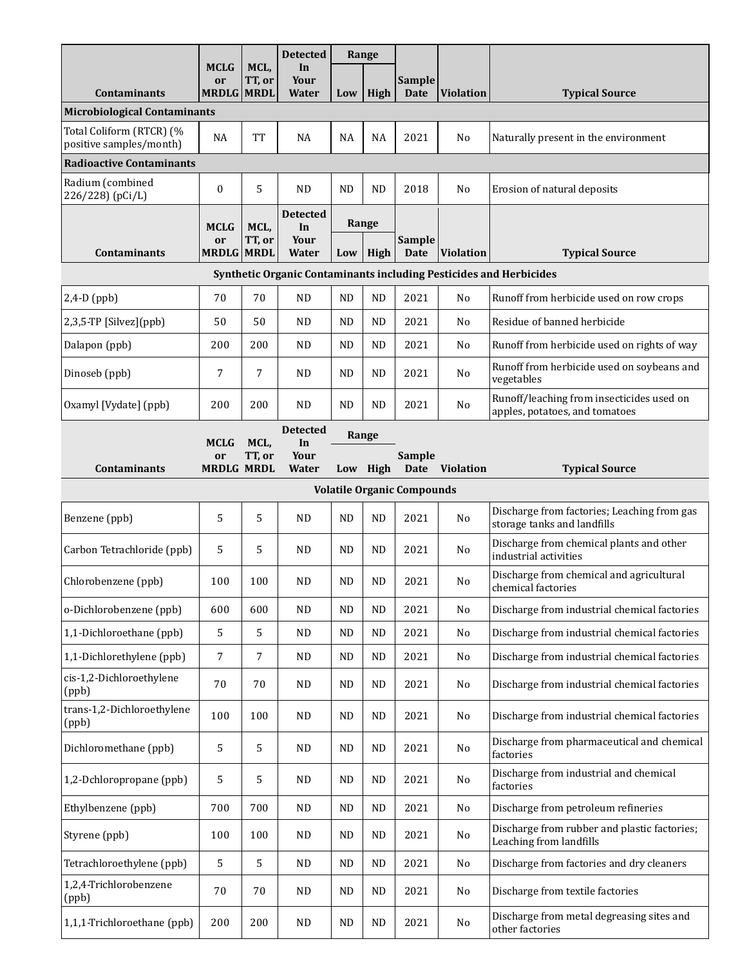|                                                     |                                        |                | <b>Detected</b>                        | Range     |           |                                   |                  |                                                                             |  |  |
|-----------------------------------------------------|----------------------------------------|----------------|----------------------------------------|-----------|-----------|-----------------------------------|------------------|-----------------------------------------------------------------------------|--|--|
| <b>Contaminants</b>                                 | <b>MCLG</b><br>or<br><b>MRDLG MRDL</b> | MCL,<br>TT, or | In<br>Your<br><b>Water</b>             | Low       | High      | <b>Sample</b><br><b>Date</b>      | <b>Violation</b> | <b>Typical Source</b>                                                       |  |  |
| <b>Microbiological Contaminants</b>                 |                                        |                |                                        |           |           |                                   |                  |                                                                             |  |  |
| Total Coliform (RTCR) (%<br>positive samples/month) | NA                                     | <b>TT</b>      | NA                                     | NA        | NA        | 2021                              | No               | Naturally present in the environment                                        |  |  |
| <b>Radioactive Contaminants</b>                     |                                        |                |                                        |           |           |                                   |                  |                                                                             |  |  |
| Radium (combined<br>226/228) (pCi/L)                | $\bf{0}$                               | 5              | <b>ND</b>                              | <b>ND</b> | <b>ND</b> | 2018                              | No               | Erosion of natural deposits                                                 |  |  |
|                                                     | <b>MCLG</b>                            | MCL,           | <b>Detected</b><br>In                  |           | Range     |                                   |                  |                                                                             |  |  |
| <b>Contaminants</b>                                 | or<br><b>MRDLG MRDL</b>                | TT, or         | Your<br>Water                          | Low       | High      | Sample<br><b>Date</b>             | <b>Violation</b> | <b>Typical Source</b>                                                       |  |  |
|                                                     |                                        |                |                                        |           |           |                                   |                  | Synthetic Organic Contaminants including Pesticides and Herbicides          |  |  |
| $2,4-D$ (ppb)                                       | 70                                     | 70             | <b>ND</b>                              | <b>ND</b> | <b>ND</b> | 2021                              | No               | Runoff from herbicide used on row crops                                     |  |  |
| 2,3,5-TP [Silvez](ppb)                              | 50                                     | 50             | <b>ND</b>                              | ND.       | <b>ND</b> | 2021                              | No               | Residue of banned herbicide                                                 |  |  |
| Dalapon (ppb)                                       | 200                                    | 200            | <b>ND</b>                              | <b>ND</b> | <b>ND</b> | 2021                              | No               | Runoff from herbicide used on rights of way                                 |  |  |
| Dinoseb (ppb)                                       | 7                                      | 7              | <b>ND</b>                              | <b>ND</b> | <b>ND</b> | 2021                              | No               | Runoff from herbicide used on soybeans and<br>vegetables                    |  |  |
| Oxamyl [Vydate] (ppb)                               | 200                                    | 200            | <b>ND</b>                              | ND.       | <b>ND</b> | 2021                              | No               | Runoff/leaching from insecticides used on<br>apples, potatoes, and tomatoes |  |  |
| <b>Contaminants</b>                                 | <b>MCLG</b><br>or<br><b>MRDLG MRDL</b> | MCL,<br>TT, or | <b>Detected</b><br>In<br>Your<br>Water | Range     | Low High  | Sample<br><b>Date</b>             | <b>Violation</b> | <b>Typical Source</b>                                                       |  |  |
|                                                     |                                        |                |                                        |           |           | <b>Volatile Organic Compounds</b> |                  |                                                                             |  |  |
| Benzene (ppb)                                       | 5                                      | 5              | <b>ND</b>                              | <b>ND</b> | ND        | 2021                              | No               | Discharge from factories; Leaching from gas<br>storage tanks and landfills  |  |  |
| Carbon Tetrachloride (ppb)                          | 5                                      | 5              | <b>ND</b>                              | ND.       | <b>ND</b> | 2021                              | No               | Discharge from chemical plants and other<br>industrial activities           |  |  |
| Chlorobenzene (ppb)                                 | 100                                    | 100            | <b>ND</b>                              | <b>ND</b> | <b>ND</b> | 2021                              | No               | Discharge from chemical and agricultural<br>chemical factories              |  |  |
| o-Dichlorobenzene (ppb)                             | 600                                    | 600            | <b>ND</b>                              | <b>ND</b> | <b>ND</b> | 2021                              | No               | Discharge from industrial chemical factories                                |  |  |
| 1,1-Dichloroethane (ppb)                            | 5                                      | 5              | <b>ND</b>                              | <b>ND</b> | <b>ND</b> | 2021                              | No               | Discharge from industrial chemical factories                                |  |  |
| 1,1-Dichlorethylene (ppb)                           | 7                                      | 7              | <b>ND</b>                              | <b>ND</b> | $\rm ND$  | 2021                              | No               | Discharge from industrial chemical factories                                |  |  |
| cis-1,2-Dichloroethylene<br>(ppb)                   | 70                                     | 70             | <b>ND</b>                              | <b>ND</b> | <b>ND</b> | 2021                              | No               | Discharge from industrial chemical factories                                |  |  |
| trans-1,2-Dichloroethylene<br>(ppb)                 | 100                                    | 100            | <b>ND</b>                              | <b>ND</b> | <b>ND</b> | 2021                              | No               | Discharge from industrial chemical factories                                |  |  |
| Dichloromethane (ppb)                               | 5                                      | 5              | <b>ND</b>                              | <b>ND</b> | ND        | 2021                              | No               | Discharge from pharmaceutical and chemical<br>factories                     |  |  |
| 1,2-Dchloropropane (ppb)                            | 5                                      | 5              | <b>ND</b>                              | <b>ND</b> | <b>ND</b> | 2021                              | No               | Discharge from industrial and chemical<br>factories                         |  |  |
| Ethylbenzene (ppb)                                  | 700                                    | 700            | <b>ND</b>                              | <b>ND</b> | <b>ND</b> | 2021                              | No               | Discharge from petroleum refineries                                         |  |  |
| Styrene (ppb)                                       | 100                                    | 100            | <b>ND</b>                              | <b>ND</b> | <b>ND</b> | 2021                              | No               | Discharge from rubber and plastic factories;<br>Leaching from landfills     |  |  |
| Tetrachloroethylene (ppb)                           | 5                                      | 5              | <b>ND</b>                              | <b>ND</b> | <b>ND</b> | 2021                              | No               | Discharge from factories and dry cleaners                                   |  |  |
| 1,2,4-Trichlorobenzene<br>(ppb)                     | 70                                     | 70             | <b>ND</b>                              | <b>ND</b> | <b>ND</b> | 2021                              | No               | Discharge from textile factories                                            |  |  |
| 1,1,1-Trichloroethane (ppb)                         | 200                                    | 200            | <b>ND</b>                              | <b>ND</b> | <b>ND</b> | 2021                              | No               | Discharge from metal degreasing sites and<br>other factories                |  |  |